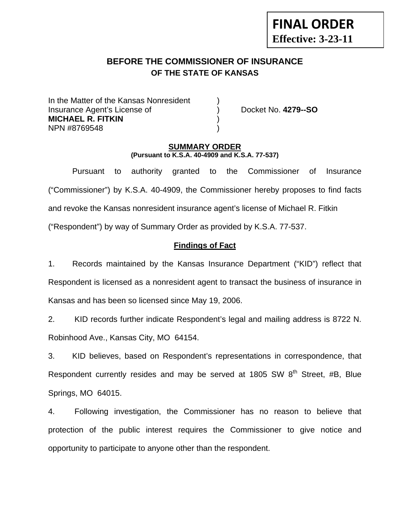# **BEFORE THE COMMISSIONER OF INSURANCE OF THE STATE OF KANSAS**

In the Matter of the Kansas Nonresident Insurance Agent's License of ) Docket No. **4279--SO MICHAEL R. FITKIN** ) NPN #8769548 )

**FINAL ORDER**

**Effective: 3-23-11** 

#### **SUMMARY ORDER (Pursuant to K.S.A. 40-4909 and K.S.A. 77-537)**

 Pursuant to authority granted to the Commissioner of Insurance ("Commissioner") by K.S.A. 40-4909, the Commissioner hereby proposes to find facts and revoke the Kansas nonresident insurance agent's license of Michael R. Fitkin ("Respondent") by way of Summary Order as provided by K.S.A. 77-537.

## **Findings of Fact**

1. Records maintained by the Kansas Insurance Department ("KID") reflect that Respondent is licensed as a nonresident agent to transact the business of insurance in Kansas and has been so licensed since May 19, 2006.

2. KID records further indicate Respondent's legal and mailing address is 8722 N. Robinhood Ave., Kansas City, MO 64154.

3. KID believes, based on Respondent's representations in correspondence, that Respondent currently resides and may be served at 1805 SW  $8<sup>th</sup>$  Street, #B, Blue Springs, MO 64015.

4. Following investigation, the Commissioner has no reason to believe that protection of the public interest requires the Commissioner to give notice and opportunity to participate to anyone other than the respondent.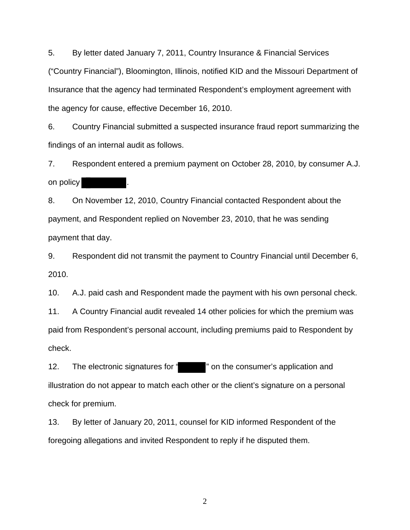5. By letter dated January 7, 2011, Country Insurance & Financial Services ("Country Financial"), Bloomington, Illinois, notified KID and the Missouri Department of Insurance that the agency had terminated Respondent's employment agreement with the agency for cause, effective December 16, 2010.

6. Country Financial submitted a suspected insurance fraud report summarizing the findings of an internal audit as follows.

7. Respondent entered a premium payment on October 28, 2010, by consumer A.J. on policy

8. On November 12, 2010, Country Financial contacted Respondent about the payment, and Respondent replied on November 23, 2010, that he was sending payment that day.

9. Respondent did not transmit the payment to Country Financial until December 6, 2010.

10. A.J. paid cash and Respondent made the payment with his own personal check.

11. A Country Financial audit revealed 14 other policies for which the premium was paid from Respondent's personal account, including premiums paid to Respondent by check.

12. The electronic signatures for " " on the consumer's application and illustration do not appear to match each other or the client's signature on a personal check for premium.

13. By letter of January 20, 2011, counsel for KID informed Respondent of the foregoing allegations and invited Respondent to reply if he disputed them.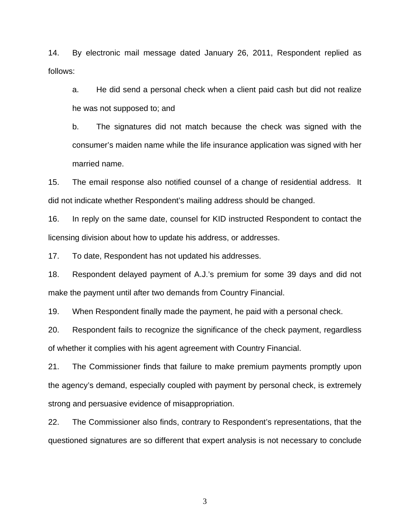14. By electronic mail message dated January 26, 2011, Respondent replied as follows:

a. He did send a personal check when a client paid cash but did not realize he was not supposed to; and

b. The signatures did not match because the check was signed with the consumer's maiden name while the life insurance application was signed with her married name.

15. The email response also notified counsel of a change of residential address. It did not indicate whether Respondent's mailing address should be changed.

16. In reply on the same date, counsel for KID instructed Respondent to contact the licensing division about how to update his address, or addresses.

17. To date, Respondent has not updated his addresses.

18. Respondent delayed payment of A.J.'s premium for some 39 days and did not make the payment until after two demands from Country Financial.

19. When Respondent finally made the payment, he paid with a personal check.

20. Respondent fails to recognize the significance of the check payment, regardless of whether it complies with his agent agreement with Country Financial.

21. The Commissioner finds that failure to make premium payments promptly upon the agency's demand, especially coupled with payment by personal check, is extremely strong and persuasive evidence of misappropriation.

22. The Commissioner also finds, contrary to Respondent's representations, that the questioned signatures are so different that expert analysis is not necessary to conclude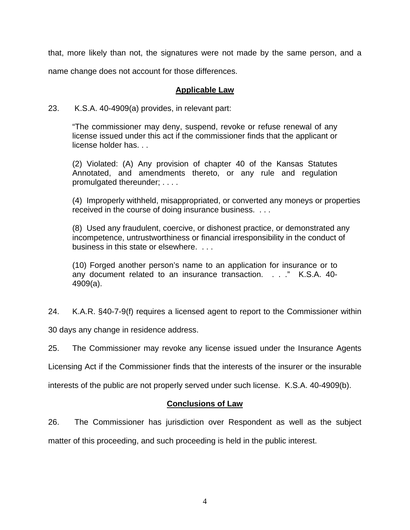that, more likely than not, the signatures were not made by the same person, and a name change does not account for those differences.

## **Applicable Law**

### 23. K.S.A. 40-4909(a) provides, in relevant part:

"The commissioner may deny, suspend, revoke or refuse renewal of any license issued under this act if the commissioner finds that the applicant or license holder has. . .

(2) Violated: (A) Any provision of chapter 40 of the Kansas Statutes Annotated, and amendments thereto, or any rule and regulation promulgated thereunder; . . . .

(4) Improperly withheld, misappropriated, or converted any moneys or properties received in the course of doing insurance business. . . .

(8) Used any fraudulent, coercive, or dishonest practice, or demonstrated any incompetence, untrustworthiness or financial irresponsibility in the conduct of business in this state or elsewhere. . . .

(10) Forged another person's name to an application for insurance or to any document related to an insurance transaction. . . ." K.S.A. 40- 4909(a).

24. K.A.R. §40-7-9(f) requires a licensed agent to report to the Commissioner within

30 days any change in residence address.

25. The Commissioner may revoke any license issued under the Insurance Agents

Licensing Act if the Commissioner finds that the interests of the insurer or the insurable

interests of the public are not properly served under such license. K.S.A. 40-4909(b).

### **Conclusions of Law**

26. The Commissioner has jurisdiction over Respondent as well as the subject

matter of this proceeding, and such proceeding is held in the public interest.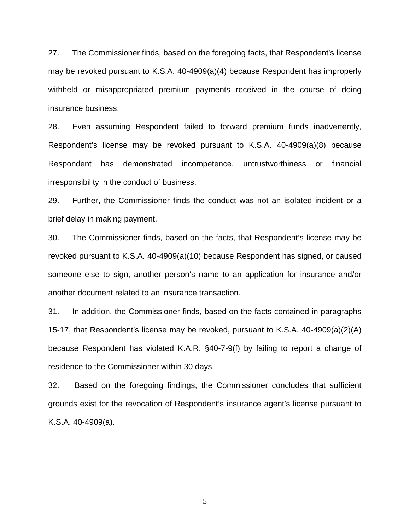27. The Commissioner finds, based on the foregoing facts, that Respondent's license may be revoked pursuant to K.S.A. 40-4909(a)(4) because Respondent has improperly withheld or misappropriated premium payments received in the course of doing insurance business.

28. Even assuming Respondent failed to forward premium funds inadvertently, Respondent's license may be revoked pursuant to K.S.A. 40-4909(a)(8) because Respondent has demonstrated incompetence, untrustworthiness or financial irresponsibility in the conduct of business.

29. Further, the Commissioner finds the conduct was not an isolated incident or a brief delay in making payment.

30. The Commissioner finds, based on the facts, that Respondent's license may be revoked pursuant to K.S.A. 40-4909(a)(10) because Respondent has signed, or caused someone else to sign, another person's name to an application for insurance and/or another document related to an insurance transaction.

31. In addition, the Commissioner finds, based on the facts contained in paragraphs 15-17, that Respondent's license may be revoked, pursuant to K.S.A. 40-4909(a)(2)(A) because Respondent has violated K.A.R. §40-7-9(f) by failing to report a change of residence to the Commissioner within 30 days.

32. Based on the foregoing findings, the Commissioner concludes that sufficient grounds exist for the revocation of Respondent's insurance agent's license pursuant to K.S.A. 40-4909(a).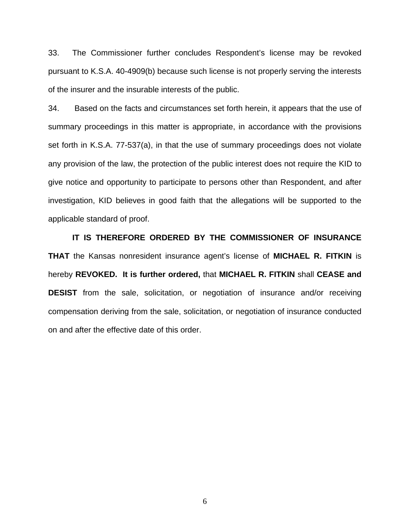33. The Commissioner further concludes Respondent's license may be revoked pursuant to K.S.A. 40-4909(b) because such license is not properly serving the interests of the insurer and the insurable interests of the public.

34. Based on the facts and circumstances set forth herein, it appears that the use of summary proceedings in this matter is appropriate, in accordance with the provisions set forth in K.S.A. 77-537(a), in that the use of summary proceedings does not violate any provision of the law, the protection of the public interest does not require the KID to give notice and opportunity to participate to persons other than Respondent, and after investigation, KID believes in good faith that the allegations will be supported to the applicable standard of proof.

 **IT IS THEREFORE ORDERED BY THE COMMISSIONER OF INSURANCE THAT** the Kansas nonresident insurance agent's license of **MICHAEL R. FITKIN** is hereby **REVOKED. It is further ordered,** that **MICHAEL R. FITKIN** shall **CEASE and DESIST** from the sale, solicitation, or negotiation of insurance and/or receiving compensation deriving from the sale, solicitation, or negotiation of insurance conducted on and after the effective date of this order.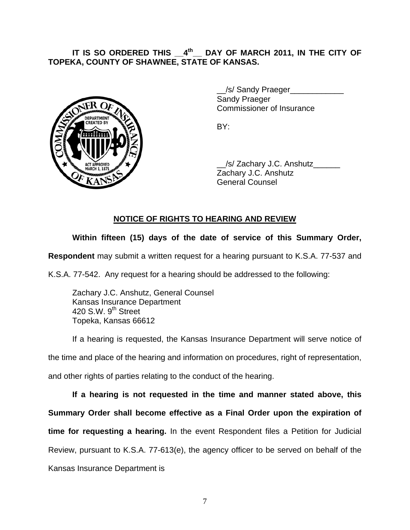## IT IS SO ORDERED THIS  $4^{\text{th}}$  DAY OF MARCH 2011, IN THE CITY OF **TOPEKA, COUNTY OF SHAWNEE, STATE OF KANSAS.**



 \_\_/s/ Sandy Praeger\_\_\_\_\_\_\_\_\_\_\_\_ Sandy Praeger Commissioner of Insurance

 \_\_/s/ Zachary J.C. Anshutz\_\_\_\_\_\_ Zachary J.C. Anshutz General Counsel

# **NOTICE OF RIGHTS TO HEARING AND REVIEW**

# **Within fifteen (15) days of the date of service of this Summary Order,**

**Respondent** may submit a written request for a hearing pursuant to K.S.A. 77-537 and

K.S.A. 77-542. Any request for a hearing should be addressed to the following:

 Zachary J.C. Anshutz, General Counsel Kansas Insurance Department 420 S.W. 9<sup>th</sup> Street Topeka, Kansas 66612

If a hearing is requested, the Kansas Insurance Department will serve notice of the time and place of the hearing and information on procedures, right of representation, and other rights of parties relating to the conduct of the hearing.

**If a hearing is not requested in the time and manner stated above, this Summary Order shall become effective as a Final Order upon the expiration of time for requesting a hearing.** In the event Respondent files a Petition for Judicial Review, pursuant to K.S.A. 77-613(e), the agency officer to be served on behalf of the Kansas Insurance Department is